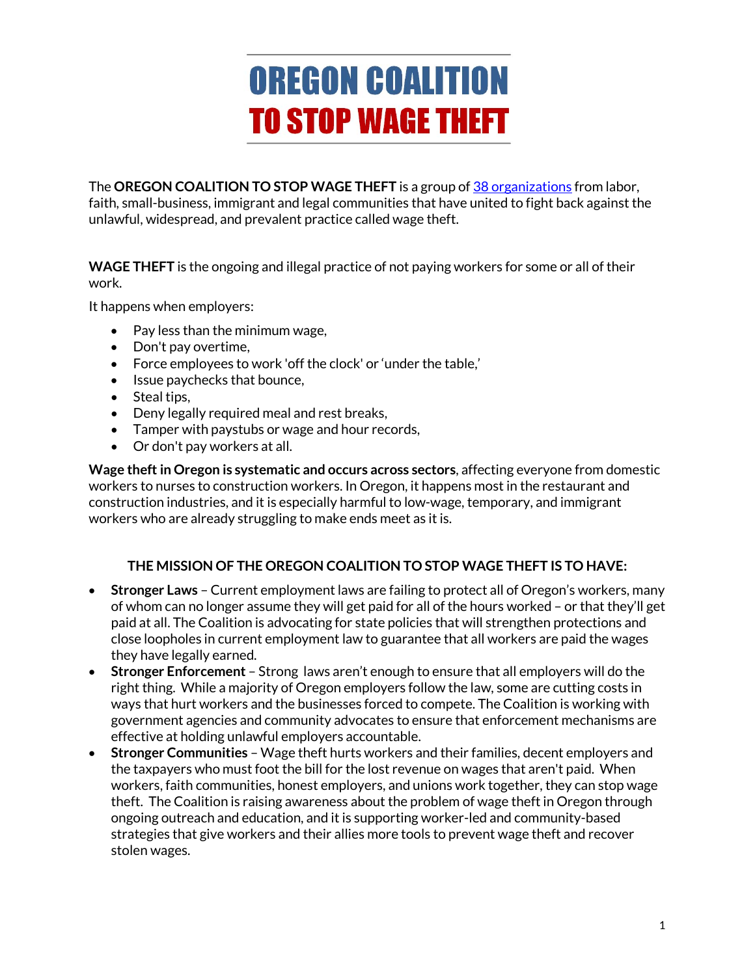## **OREGON COALITION TO STOP WAGE THEFT**

The OREGON COALITION TO STOP WAGE THEFT is a group of **38 organizations** from labor, faith, small-business, immigrant and legal communities that have united to fight back against the unlawful, widespread, and prevalent practice called wage theft.

**WAGE THEFT** is the ongoing and illegal practice of not paying workers for some or all of their work.

It happens when employers:

- Pay less than the minimum wage,
- Don't pay overtime,
- Force employees to work 'off the clock' or 'under the table,'
- Issue paychecks that bounce,
- Steal tips,
- Deny legally required meal and rest breaks,
- Tamper with paystubs or wage and hour records,
- Or don't pay workers at all.

**Wage theft in Oregon is systematic and occurs across sectors**, affecting everyone from domestic workers to nurses to construction workers. In Oregon, it happens most in the restaurant and construction industries, and it is especially harmful to low-wage, temporary, and immigrant workers who are already struggling to make ends meet as it is.

## **THE MISSION OF THE OREGON COALITION TO STOP WAGE THEFT IS TO HAVE:**

- **Stronger Laws** Current employment laws are failing to protect all of Oregon's workers, many of whom can no longer assume they will get paid for all of the hours worked – or that they'll get paid at all. The Coalition is advocating for state policies that will strengthen protections and close loopholes in current employment law to guarantee that all workers are paid the wages they have legally earned.
- **Stronger Enforcement** Strong laws aren't enough to ensure that all employers will do the right thing. While a majority of Oregon employers follow the law, some are cutting costs in ways that hurt workers and the businesses forced to compete. The Coalition is working with government agencies and community advocates to ensure that enforcement mechanisms are effective at holding unlawful employers accountable.
- **Stronger Communities** Wage theft hurts workers and their families, decent employers and the taxpayers who must foot the bill for the lost revenue on wages that aren't paid. When workers, faith communities, honest employers, and unions work together, they can stop wage theft. The Coalition is raising awareness about the problem of wage theft in Oregon through ongoing outreach and education, and it is supporting worker-led and community-based strategies that give workers and their allies more tools to prevent wage theft and recover stolen wages.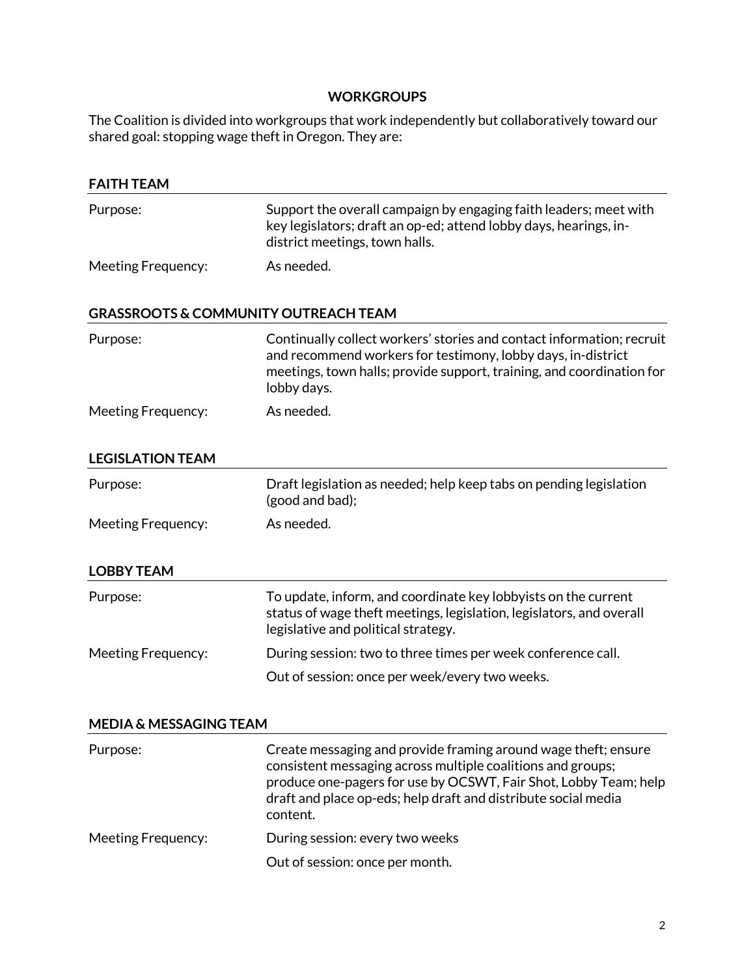## **WORKGROUPS**

The Coalition is divided into workgroups that work independently but collaboratively toward our shared goal: stopping wage theft in Oregon. They are:

| <b>FAITH TEAM</b>                 |                                                                                                                                                                                                                                                                                 |
|-----------------------------------|---------------------------------------------------------------------------------------------------------------------------------------------------------------------------------------------------------------------------------------------------------------------------------|
| Purpose:                          | Support the overall campaign by engaging faith leaders; meet with<br>key legislators; draft an op-ed; attend lobby days, hearings, in-<br>district meetings, town halls.                                                                                                        |
| <b>Meeting Frequency:</b>         | As needed.                                                                                                                                                                                                                                                                      |
|                                   | <b>GRASSROOTS &amp; COMMUNITY OUTREACH TEAM</b>                                                                                                                                                                                                                                 |
| Purpose:                          | Continually collect workers' stories and contact information; recruit<br>and recommend workers for testimony, lobby days, in-district<br>meetings, town halls; provide support, training, and coordination for<br>lobby days.                                                   |
| Meeting Frequency:                | As needed.                                                                                                                                                                                                                                                                      |
| <b>LEGISLATION TEAM</b>           |                                                                                                                                                                                                                                                                                 |
| Purpose:                          | Draft legislation as needed; help keep tabs on pending legislation<br>(good and bad);                                                                                                                                                                                           |
| <b>Meeting Frequency:</b>         | As needed.                                                                                                                                                                                                                                                                      |
| <b>LOBBY TEAM</b>                 |                                                                                                                                                                                                                                                                                 |
| Purpose:                          | To update, inform, and coordinate key lobbyists on the current<br>status of wage theft meetings, legislation, legislators, and overall<br>legislative and political strategy.                                                                                                   |
| Meeting Frequency:                | During session: two to three times per week conference call.                                                                                                                                                                                                                    |
|                                   | Out of session: once per week/every two weeks.                                                                                                                                                                                                                                  |
| <b>MEDIA &amp; MESSAGING TEAM</b> |                                                                                                                                                                                                                                                                                 |
| Purpose:                          | Create messaging and provide framing around wage theft; ensure<br>consistent messaging across multiple coalitions and groups;<br>produce one-pagers for use by OCSWT, Fair Shot, Lobby Team; help<br>draft and place op-eds; help draft and distribute social media<br>content. |
| Meeting Frequency:                | During session: every two weeks                                                                                                                                                                                                                                                 |
|                                   | Out of session: once per month.                                                                                                                                                                                                                                                 |
|                                   |                                                                                                                                                                                                                                                                                 |